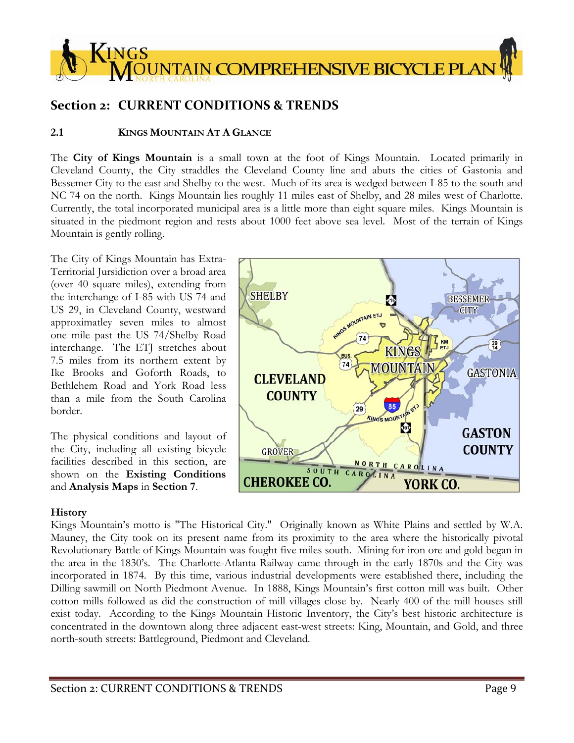

# **Section 2: CURRENT CONDITIONS & TRENDS**

# **2.1 KINGS MOUNTAIN AT A GLANCE**

The **City of Kings Mountain** is a small town at the foot of Kings Mountain. Located primarily in Cleveland County, the City straddles the Cleveland County line and abuts the cities of Gastonia and Bessemer City to the east and Shelby to the west. Much of its area is wedged between I-85 to the south and NC 74 on the north. Kings Mountain lies roughly 11 miles east of Shelby, and 28 miles west of Charlotte. Currently, the total incorporated municipal area is a little more than eight square miles. Kings Mountain is situated in the piedmont region and rests about 1000 feet above sea level. Most of the terrain of Kings Mountain is gently rolling.

The City of Kings Mountain has Extra-Territorial Jursidiction over a broad area (over 40 square miles), extending from the interchange of I-85 with US 74 and US 29, in Cleveland County, westward approximatley seven miles to almost one mile past the US 74/Shelby Road interchange. The ETJ stretches about 7.5 miles from its northern extent by Ike Brooks and Goforth Roads, to Bethlehem Road and York Road less than a mile from the South Carolina border.

The physical conditions and layout of the City, including all existing bicycle facilities described in this section, are shown on the **Existing Conditions**  and **Analysis Maps** in **Section 7**.

# **History**

Kings Mountain's motto is "The Historical City." Originally known as White Plains and settled by W.A. Mauney, the City took on its present name from its proximity to the area where the historically pivotal Revolutionary Battle of Kings Mountain was fought five miles south. Mining for iron ore and gold began in the area in the 1830's. The Charlotte-Atlanta Railway came through in the early 1870s and the City was incorporated in 1874. By this time, various industrial developments were established there, including the Dilling sawmill on North Piedmont Avenue. In 1888, Kings Mountain's first cotton mill was built. Other cotton mills followed as did the construction of mill villages close by. Nearly 400 of the mill houses still exist today. According to the Kings Mountain Historic Inventory, the City's best historic architecture is concentrated in the downtown along three adjacent east-west streets: King, Mountain, and Gold, and three north-south streets: Battleground, Piedmont and Cleveland.

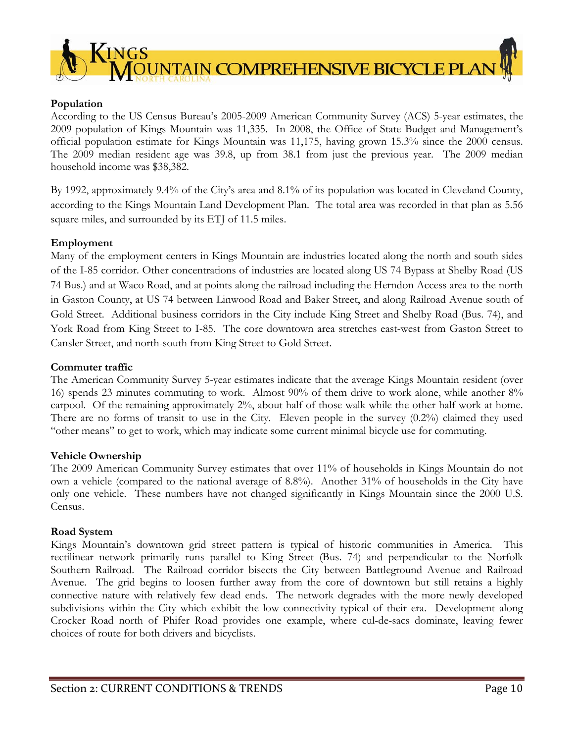

# **Population**

According to the US Census Bureau's 2005-2009 American Community Survey (ACS) 5-year estimates, the 2009 population of Kings Mountain was 11,335. In 2008, the Office of State Budget and Management's official population estimate for Kings Mountain was 11,175, having grown 15.3% since the 2000 census. The 2009 median resident age was 39.8, up from 38.1 from just the previous year. The 2009 median household income was \$38,382.

By 1992, approximately 9.4% of the City's area and 8.1% of its population was located in Cleveland County, according to the Kings Mountain Land Development Plan. The total area was recorded in that plan as 5.56 square miles, and surrounded by its ETJ of 11.5 miles.

# **Employment**

Many of the employment centers in Kings Mountain are industries located along the north and south sides of the I-85 corridor. Other concentrations of industries are located along US 74 Bypass at Shelby Road (US 74 Bus.) and at Waco Road, and at points along the railroad including the Herndon Access area to the north in Gaston County, at US 74 between Linwood Road and Baker Street, and along Railroad Avenue south of Gold Street. Additional business corridors in the City include King Street and Shelby Road (Bus. 74), and York Road from King Street to I-85. The core downtown area stretches east-west from Gaston Street to Cansler Street, and north-south from King Street to Gold Street.

# **Commuter traffic**

The American Community Survey 5-year estimates indicate that the average Kings Mountain resident (over 16) spends 23 minutes commuting to work. Almost 90% of them drive to work alone, while another 8% carpool. Of the remaining approximately 2%, about half of those walk while the other half work at home. There are no forms of transit to use in the City. Eleven people in the survey (0.2%) claimed they used "other means" to get to work, which may indicate some current minimal bicycle use for commuting.

# **Vehicle Ownership**

The 2009 American Community Survey estimates that over 11% of households in Kings Mountain do not own a vehicle (compared to the national average of 8.8%). Another 31% of households in the City have only one vehicle. These numbers have not changed significantly in Kings Mountain since the 2000 U.S. Census.

# **Road System**

Kings Mountain's downtown grid street pattern is typical of historic communities in America. This rectilinear network primarily runs parallel to King Street (Bus. 74) and perpendicular to the Norfolk Southern Railroad. The Railroad corridor bisects the City between Battleground Avenue and Railroad Avenue. The grid begins to loosen further away from the core of downtown but still retains a highly connective nature with relatively few dead ends. The network degrades with the more newly developed subdivisions within the City which exhibit the low connectivity typical of their era. Development along Crocker Road north of Phifer Road provides one example, where cul-de-sacs dominate, leaving fewer choices of route for both drivers and bicyclists.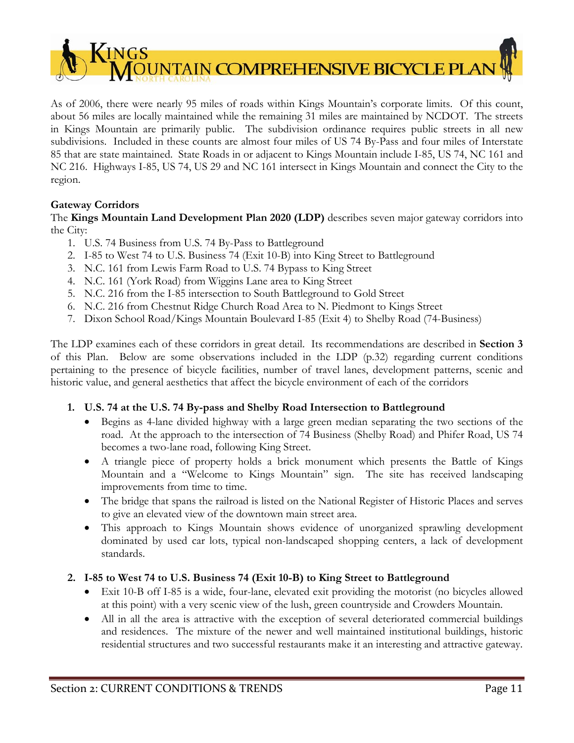

As of 2006, there were nearly 95 miles of roads within Kings Mountain's corporate limits. Of this count, about 56 miles are locally maintained while the remaining 31 miles are maintained by NCDOT. The streets in Kings Mountain are primarily public. The subdivision ordinance requires public streets in all new subdivisions. Included in these counts are almost four miles of US 74 By-Pass and four miles of Interstate 85 that are state maintained. State Roads in or adjacent to Kings Mountain include I-85, US 74, NC 161 and NC 216. Highways I-85, US 74, US 29 and NC 161 intersect in Kings Mountain and connect the City to the region.

# **Gateway Corridors**

The **Kings Mountain Land Development Plan 2020 (LDP)** describes seven major gateway corridors into the City:

- 1. U.S. 74 Business from U.S. 74 By-Pass to Battleground
- 2. I-85 to West 74 to U.S. Business 74 (Exit 10-B) into King Street to Battleground
- 3. N.C. 161 from Lewis Farm Road to U.S. 74 Bypass to King Street
- 4. N.C. 161 (York Road) from Wiggins Lane area to King Street
- 5. N.C. 216 from the I-85 intersection to South Battleground to Gold Street
- 6. N.C. 216 from Chestnut Ridge Church Road Area to N. Piedmont to Kings Street
- 7. Dixon School Road/Kings Mountain Boulevard I-85 (Exit 4) to Shelby Road (74-Business)

The LDP examines each of these corridors in great detail. Its recommendations are described in **Section 3** of this Plan. Below are some observations included in the LDP (p.32) regarding current conditions pertaining to the presence of bicycle facilities, number of travel lanes, development patterns, scenic and historic value, and general aesthetics that affect the bicycle environment of each of the corridors

# **1. U.S. 74 at the U.S. 74 By-pass and Shelby Road Intersection to Battleground**

- Begins as 4-lane divided highway with a large green median separating the two sections of the road. At the approach to the intersection of 74 Business (Shelby Road) and Phifer Road, US 74 becomes a two-lane road, following King Street.
- A triangle piece of property holds a brick monument which presents the Battle of Kings Mountain and a "Welcome to Kings Mountain" sign. The site has received landscaping improvements from time to time.
- The bridge that spans the railroad is listed on the National Register of Historic Places and serves to give an elevated view of the downtown main street area.
- This approach to Kings Mountain shows evidence of unorganized sprawling development dominated by used car lots, typical non-landscaped shopping centers, a lack of development standards.

# **2. I-85 to West 74 to U.S. Business 74 (Exit 10-B) to King Street to Battleground**

- Exit 10-B off I-85 is a wide, four-lane, elevated exit providing the motorist (no bicycles allowed at this point) with a very scenic view of the lush, green countryside and Crowders Mountain.
- All in all the area is attractive with the exception of several deteriorated commercial buildings and residences. The mixture of the newer and well maintained institutional buildings, historic residential structures and two successful restaurants make it an interesting and attractive gateway.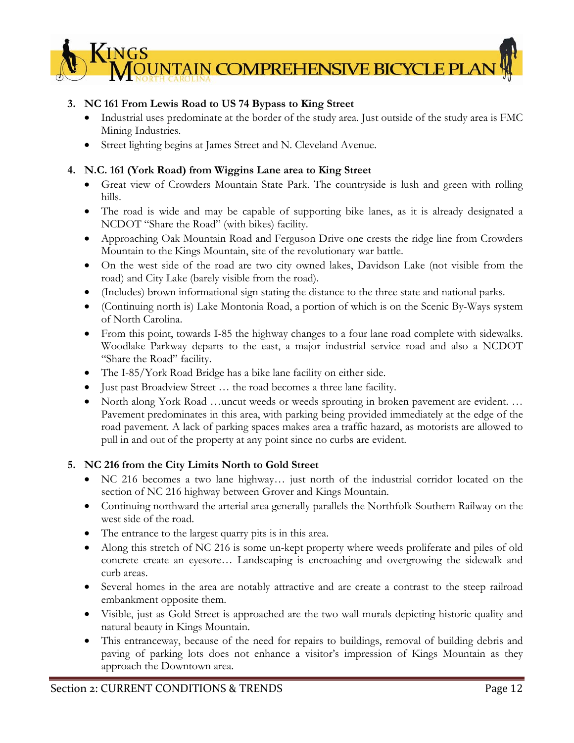# $\sqrt{\text{INGS}}$ **DUNTAIN COMPREHENSIVE BICYCLE PLA**

# **3. NC 161 From Lewis Road to US 74 Bypass to King Street**

- Industrial uses predominate at the border of the study area. Just outside of the study area is FMC Mining Industries.
- Street lighting begins at James Street and N. Cleveland Avenue.

# **4. N.C. 161 (York Road) from Wiggins Lane area to King Street**

- Great view of Crowders Mountain State Park. The countryside is lush and green with rolling hills.
- The road is wide and may be capable of supporting bike lanes, as it is already designated a NCDOT "Share the Road" (with bikes) facility.
- Approaching Oak Mountain Road and Ferguson Drive one crests the ridge line from Crowders Mountain to the Kings Mountain, site of the revolutionary war battle.
- On the west side of the road are two city owned lakes, Davidson Lake (not visible from the road) and City Lake (barely visible from the road).
- (Includes) brown informational sign stating the distance to the three state and national parks.
- (Continuing north is) Lake Montonia Road, a portion of which is on the Scenic By-Ways system of North Carolina.
- From this point, towards I-85 the highway changes to a four lane road complete with sidewalks. Woodlake Parkway departs to the east, a major industrial service road and also a NCDOT "Share the Road" facility.
- The I-85/York Road Bridge has a bike lane facility on either side.
- Just past Broadview Street … the road becomes a three lane facility.
- North along York Road …uncut weeds or weeds sprouting in broken pavement are evident. … Pavement predominates in this area, with parking being provided immediately at the edge of the road pavement. A lack of parking spaces makes area a traffic hazard, as motorists are allowed to pull in and out of the property at any point since no curbs are evident.

# **5. NC 216 from the City Limits North to Gold Street**

- NC 216 becomes a two lane highway… just north of the industrial corridor located on the section of NC 216 highway between Grover and Kings Mountain.
- Continuing northward the arterial area generally parallels the Northfolk-Southern Railway on the west side of the road.
- The entrance to the largest quarry pits is in this area.
- Along this stretch of NC 216 is some un-kept property where weeds proliferate and piles of old concrete create an eyesore… Landscaping is encroaching and overgrowing the sidewalk and curb areas.
- Several homes in the area are notably attractive and are create a contrast to the steep railroad embankment opposite them.
- Visible, just as Gold Street is approached are the two wall murals depicting historic quality and natural beauty in Kings Mountain.
- This entranceway, because of the need for repairs to buildings, removal of building debris and paving of parking lots does not enhance a visitor's impression of Kings Mountain as they approach the Downtown area.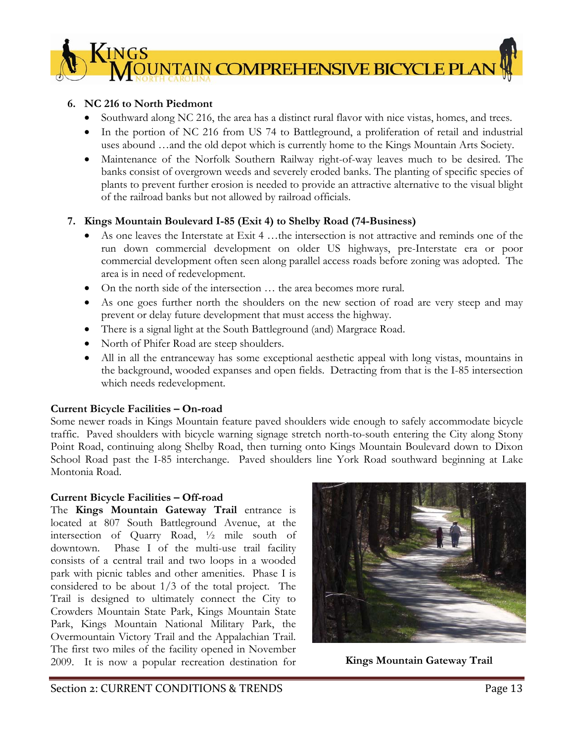

# **6. NC 216 to North Piedmont**

- Southward along NC 216, the area has a distinct rural flavor with nice vistas, homes, and trees.
- In the portion of NC 216 from US 74 to Battleground, a proliferation of retail and industrial uses abound …and the old depot which is currently home to the Kings Mountain Arts Society.
- Maintenance of the Norfolk Southern Railway right-of-way leaves much to be desired. The banks consist of overgrown weeds and severely eroded banks. The planting of specific species of plants to prevent further erosion is needed to provide an attractive alternative to the visual blight of the railroad banks but not allowed by railroad officials.

# **7. Kings Mountain Boulevard I-85 (Exit 4) to Shelby Road (74-Business)**

- As one leaves the Interstate at Exit 4 …the intersection is not attractive and reminds one of the run down commercial development on older US highways, pre-Interstate era or poor commercial development often seen along parallel access roads before zoning was adopted. The area is in need of redevelopment.
- On the north side of the intersection … the area becomes more rural.
- As one goes further north the shoulders on the new section of road are very steep and may prevent or delay future development that must access the highway.
- There is a signal light at the South Battleground (and) Margrace Road.
- North of Phifer Road are steep shoulders.
- All in all the entranceway has some exceptional aesthetic appeal with long vistas, mountains in the background, wooded expanses and open fields. Detracting from that is the I-85 intersection which needs redevelopment.

# **Current Bicycle Facilities – On-road**

Some newer roads in Kings Mountain feature paved shoulders wide enough to safely accommodate bicycle traffic. Paved shoulders with bicycle warning signage stretch north-to-south entering the City along Stony Point Road, continuing along Shelby Road, then turning onto Kings Mountain Boulevard down to Dixon School Road past the I-85 interchange. Paved shoulders line York Road southward beginning at Lake Montonia Road.

# **Current Bicycle Facilities – Off-road**

The **Kings Mountain Gateway Trail** entrance is located at 807 South Battleground Avenue, at the intersection of Quarry Road, ½ mile south of downtown. Phase I of the multi-use trail facility consists of a central trail and two loops in a wooded park with picnic tables and other amenities. Phase I is considered to be about 1/3 of the total project. The Trail is designed to ultimately connect the City to Crowders Mountain State Park, Kings Mountain State Park, Kings Mountain National Military Park, the Overmountain Victory Trail and the Appalachian Trail. The first two miles of the facility opened in November 2009. It is now a popular recreation destination for **Kings Mountain Gateway Trail** 

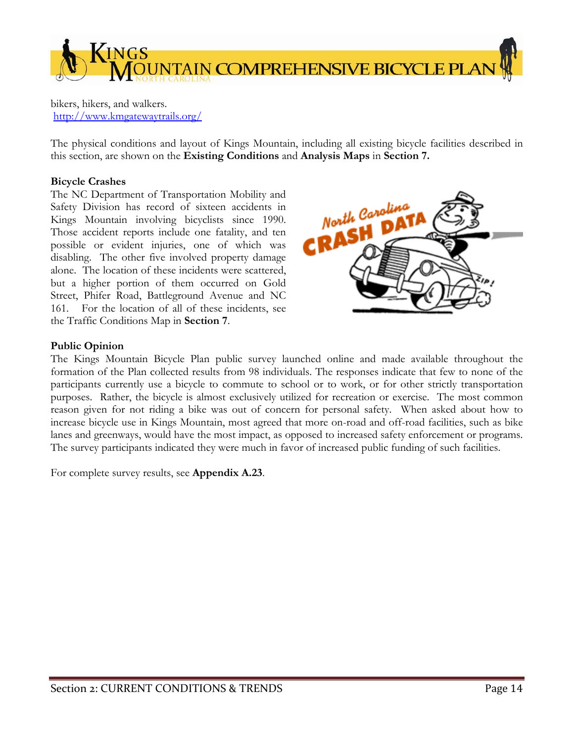

bikers, hikers, and walkers. http://www.kmgatewaytrails.org/

The physical conditions and layout of Kings Mountain, including all existing bicycle facilities described in this section, are shown on the **Existing Conditions** and **Analysis Maps** in **Section 7.**

# **Bicycle Crashes**

The NC Department of Transportation Mobility and Safety Division has record of sixteen accidents in Kings Mountain involving bicyclists since 1990. Those accident reports include one fatality, and ten possible or evident injuries, one of which was disabling. The other five involved property damage alone. The location of these incidents were scattered, but a higher portion of them occurred on Gold Street, Phifer Road, Battleground Avenue and NC 161. For the location of all of these incidents, see the Traffic Conditions Map in **Section 7**.



# **Public Opinion**

The Kings Mountain Bicycle Plan public survey launched online and made available throughout the formation of the Plan collected results from 98 individuals. The responses indicate that few to none of the participants currently use a bicycle to commute to school or to work, or for other strictly transportation purposes. Rather, the bicycle is almost exclusively utilized for recreation or exercise. The most common reason given for not riding a bike was out of concern for personal safety. When asked about how to increase bicycle use in Kings Mountain, most agreed that more on-road and off-road facilities, such as bike lanes and greenways, would have the most impact, as opposed to increased safety enforcement or programs. The survey participants indicated they were much in favor of increased public funding of such facilities.

For complete survey results, see **Appendix A.23**.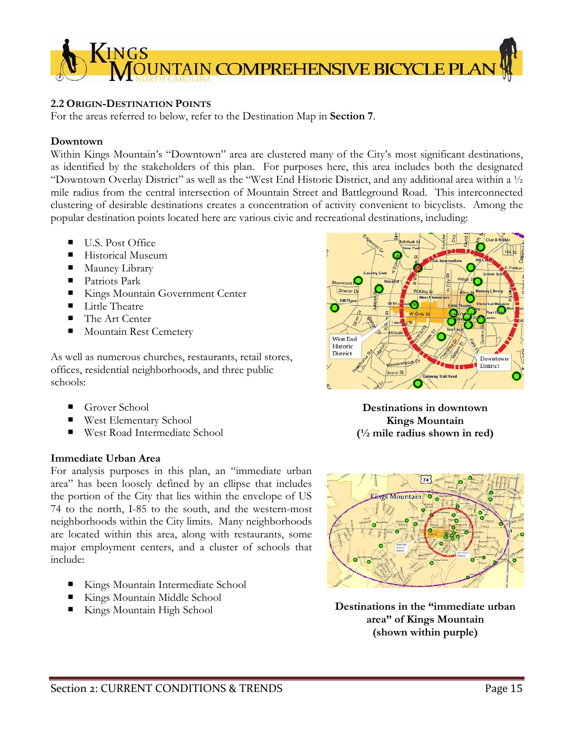

# **2.2 ORIGIN-DESTINATION POINTS**

For the areas referred to below, refer to the Destination Map in **Section 7**.

#### **Downtown**

Within Kings Mountain's "Downtown" area are clustered many of the City's most significant destinations, as identified by the stakeholders of this plan. For purposes here, this area includes both the designated "Downtown Overlay District" as well as the "West End Historic District, and any additional area within a ½ mile radius from the central intersection of Mountain Street and Battleground Road. This interconnected clustering of desirable destinations creates a concentration of activity convenient to bicyclists. Among the popular destination points located here are various civic and recreational destinations, including:

- U.S. Post Office
- Historical Museum
- **Mauney Library**
- Patriots Park
- Kings Mountain Government Center
- Little Theatre
- The Art Center
- Mountain Rest Cemetery

As well as numerous churches, restaurants, retail stores, offices, residential neighborhoods, and three public schools:

- Grover School
- West Elementary School
- West Road Intermediate School

# **Immediate Urban Area**

For analysis purposes in this plan, an "immediate urban area" has been loosely defined by an ellipse that includes the portion of the City that lies within the envelope of US 74 to the north, I-85 to the south, and the western-most neighborhoods within the City limits. Many neighborhoods are located within this area, along with restaurants, some major employment centers, and a cluster of schools that include:

- Kings Mountain Intermediate School
- Kings Mountain Middle School
- Kings Mountain High School



**Destinations in downtown Kings Mountain (½ mile radius shown in red)** 



**Destinations in the "immediate urban area" of Kings Mountain (shown within purple)**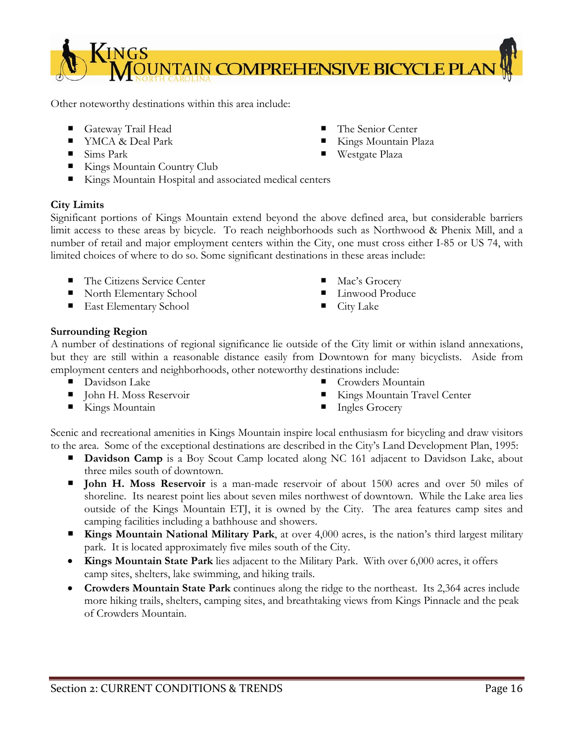

Other noteworthy destinations within this area include:

- Gateway Trail Head
- YMCA & Deal Park
- $\blacksquare$  Sims Park
- Kings Mountain Country Club
- Kings Mountain Hospital and associated medical centers

# **City Limits**

Significant portions of Kings Mountain extend beyond the above defined area, but considerable barriers limit access to these areas by bicycle. To reach neighborhoods such as Northwood & Phenix Mill, and a number of retail and major employment centers within the City, one must cross either I-85 or US 74, with limited choices of where to do so. Some significant destinations in these areas include:

- The Citizens Service Center
- North Elementary School
- **East Elementary School**
- 
- Mac's Grocery
- Linwood Produce

 The Senior Center Kings Mountain Plaza

Westgate Plaza

 $\blacksquare$  City Lake

# **Surrounding Region**

A number of destinations of regional significance lie outside of the City limit or within island annexations, but they are still within a reasonable distance easily from Downtown for many bicyclists. Aside from employment centers and neighborhoods, other noteworthy destinations include:

- **Davidson Lake**
- **John H. Moss Reservoir**
- Kings Mountain
- Crowders Mountain
- Kings Mountain Travel Center
- Ingles Grocery

Scenic and recreational amenities in Kings Mountain inspire local enthusiasm for bicycling and draw visitors to the area. Some of the exceptional destinations are described in the City's Land Development Plan, 1995:

- **Davidson Camp** is a Boy Scout Camp located along NC 161 adjacent to Davidson Lake, about three miles south of downtown.
- **John H. Moss Reservoir** is a man-made reservoir of about 1500 acres and over 50 miles of shoreline. Its nearest point lies about seven miles northwest of downtown. While the Lake area lies outside of the Kings Mountain ETJ, it is owned by the City. The area features camp sites and camping facilities including a bathhouse and showers.
- **Kings Mountain National Military Park**, at over 4,000 acres, is the nation's third largest military park. It is located approximately five miles south of the City.
- **Kings Mountain State Park** lies adjacent to the Military Park. With over 6,000 acres, it offers camp sites, shelters, lake swimming, and hiking trails.
- **Crowders Mountain State Park** continues along the ridge to the northeast. Its 2,364 acres include more hiking trails, shelters, camping sites, and breathtaking views from Kings Pinnacle and the peak of Crowders Mountain.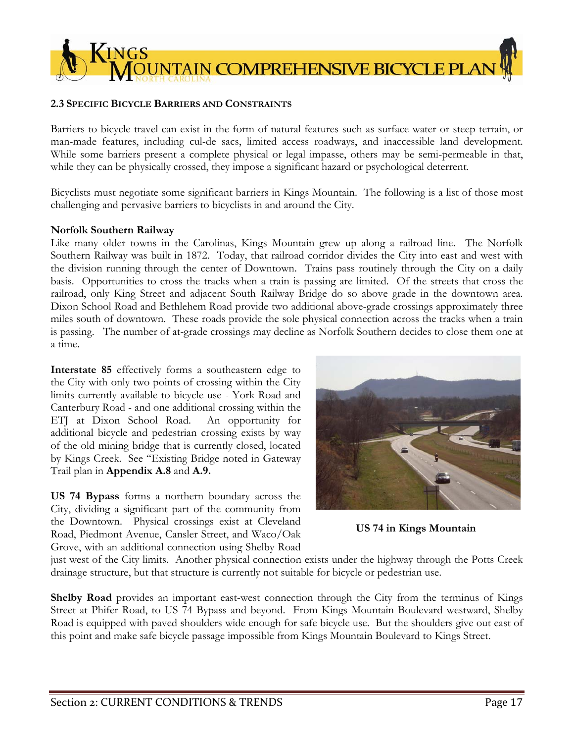

# **2.3 SPECIFIC BICYCLE BARRIERS AND CONSTRAINTS**

Barriers to bicycle travel can exist in the form of natural features such as surface water or steep terrain, or man-made features, including cul-de sacs, limited access roadways, and inaccessible land development. While some barriers present a complete physical or legal impasse, others may be semi-permeable in that, while they can be physically crossed, they impose a significant hazard or psychological deterrent.

Bicyclists must negotiate some significant barriers in Kings Mountain. The following is a list of those most challenging and pervasive barriers to bicyclists in and around the City.

#### **Norfolk Southern Railway**

Like many older towns in the Carolinas, Kings Mountain grew up along a railroad line. The Norfolk Southern Railway was built in 1872. Today, that railroad corridor divides the City into east and west with the division running through the center of Downtown. Trains pass routinely through the City on a daily basis. Opportunities to cross the tracks when a train is passing are limited. Of the streets that cross the railroad, only King Street and adjacent South Railway Bridge do so above grade in the downtown area. Dixon School Road and Bethlehem Road provide two additional above-grade crossings approximately three miles south of downtown. These roads provide the sole physical connection across the tracks when a train is passing. The number of at-grade crossings may decline as Norfolk Southern decides to close them one at a time.

**Interstate 85** effectively forms a southeastern edge to the City with only two points of crossing within the City limits currently available to bicycle use - York Road and Canterbury Road - and one additional crossing within the ETJ at Dixon School Road. An opportunity for additional bicycle and pedestrian crossing exists by way of the old mining bridge that is currently closed, located by Kings Creek. See "Existing Bridge noted in Gateway Trail plan in **Appendix A.8** and **A.9.**

**US 74 Bypass** forms a northern boundary across the City, dividing a significant part of the community from the Downtown. Physical crossings exist at Cleveland Road, Piedmont Avenue, Cansler Street, and Waco/Oak Grove, with an additional connection using Shelby Road



**US 74 in Kings Mountain** 

just west of the City limits. Another physical connection exists under the highway through the Potts Creek drainage structure, but that structure is currently not suitable for bicycle or pedestrian use.

**Shelby Road** provides an important east-west connection through the City from the terminus of Kings Street at Phifer Road, to US 74 Bypass and beyond. From Kings Mountain Boulevard westward, Shelby Road is equipped with paved shoulders wide enough for safe bicycle use. But the shoulders give out east of this point and make safe bicycle passage impossible from Kings Mountain Boulevard to Kings Street.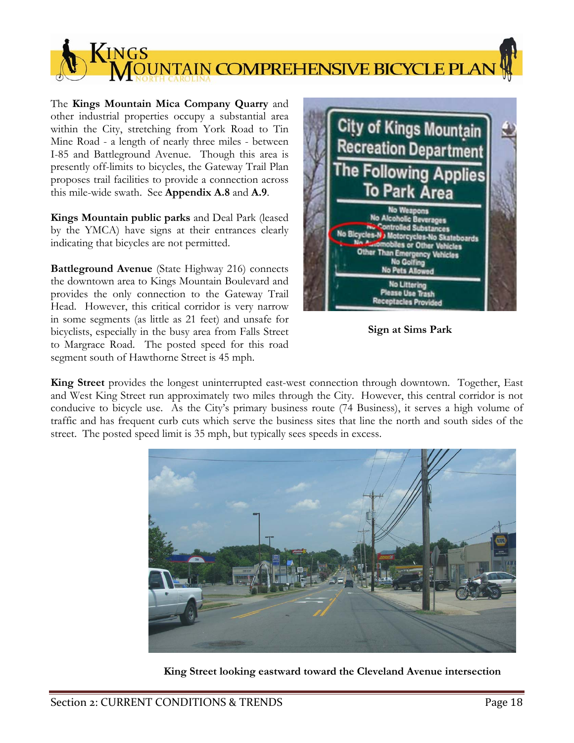$\sqrt{\text{INGS}}$ TAIN COMPREHENSIVE BICYCLE PLA

The **Kings Mountain Mica Company Quarry** and other industrial properties occupy a substantial area within the City, stretching from York Road to Tin Mine Road - a length of nearly three miles - between I-85 and Battleground Avenue. Though this area is presently off-limits to bicycles, the Gateway Trail Plan proposes trail facilities to provide a connection across this mile-wide swath. See **Appendix A.8** and **A.9**.

**Kings Mountain public parks** and Deal Park (leased by the YMCA) have signs at their entrances clearly indicating that bicycles are not permitted.

**Battleground Avenue** (State Highway 216) connects the downtown area to Kings Mountain Boulevard and provides the only connection to the Gateway Trail Head. However, this critical corridor is very narrow in some segments (as little as 21 feet) and unsafe for bicyclists, especially in the busy area from Falls Street to Margrace Road. The posted speed for this road segment south of Hawthorne Street is 45 mph.



**Sign at Sims Park** 

**King Street** provides the longest uninterrupted east-west connection through downtown. Together, East and West King Street run approximately two miles through the City. However, this central corridor is not conducive to bicycle use. As the City's primary business route (74 Business), it serves a high volume of traffic and has frequent curb cuts which serve the business sites that line the north and south sides of the street. The posted speed limit is 35 mph, but typically sees speeds in excess.



**King Street looking eastward toward the Cleveland Avenue intersection**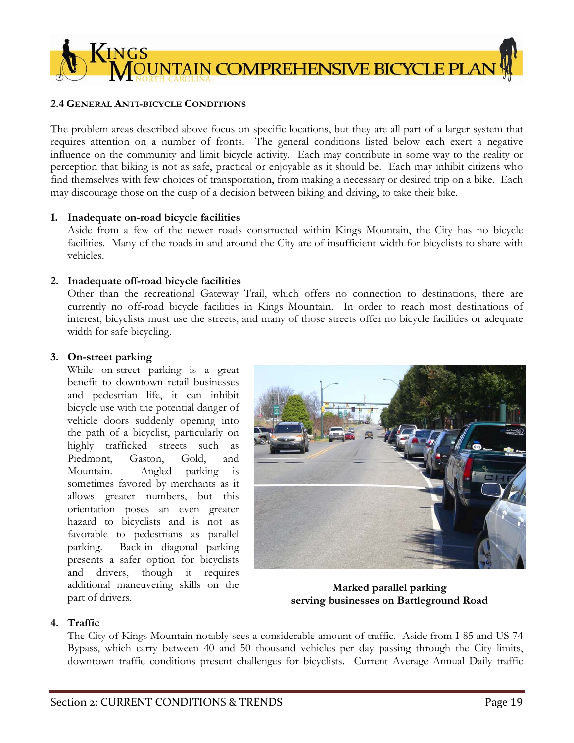

# **2.4 GENERAL ANTI-BICYCLE CONDITIONS**

The problem areas described above focus on specific locations, but they are all part of a larger system that requires attention on a number of fronts. The general conditions listed below each exert a negative influence on the community and limit bicycle activity. Each may contribute in some way to the reality or perception that biking is not as safe, practical or enjoyable as it should be. Each may inhibit citizens who find themselves with few choices of transportation, from making a necessary or desired trip on a bike. Each may discourage those on the cusp of a decision between biking and driving, to take their bike.

# **1. Inadequate on-road bicycle facilities**

Aside from a few of the newer roads constructed within Kings Mountain, the City has no bicycle facilities. Many of the roads in and around the City are of insufficient width for bicyclists to share with vehicles.

# **2. Inadequate off-road bicycle facilities**

Other than the recreational Gateway Trail, which offers no connection to destinations, there are currently no off-road bicycle facilities in Kings Mountain. In order to reach most destinations of interest, bicyclists must use the streets, and many of those streets offer no bicycle facilities or adequate width for safe bicycling.

# **3. On-street parking**

While on-street parking is a great benefit to downtown retail businesses and pedestrian life, it can inhibit bicycle use with the potential danger of vehicle doors suddenly opening into the path of a bicyclist, particularly on highly trafficked streets such as Piedmont, Gaston, Gold, and Mountain. Angled parking is sometimes favored by merchants as it allows greater numbers, but this orientation poses an even greater hazard to bicyclists and is not as favorable to pedestrians as parallel parking. Back-in diagonal parking presents a safer option for bicyclists and drivers, though it requires additional maneuvering skills on the part of drivers.



**Marked parallel parking serving businesses on Battleground Road** 

# **4. Traffic**

The City of Kings Mountain notably sees a considerable amount of traffic. Aside from I-85 and US 74 Bypass, which carry between 40 and 50 thousand vehicles per day passing through the City limits, downtown traffic conditions present challenges for bicyclists. Current Average Annual Daily traffic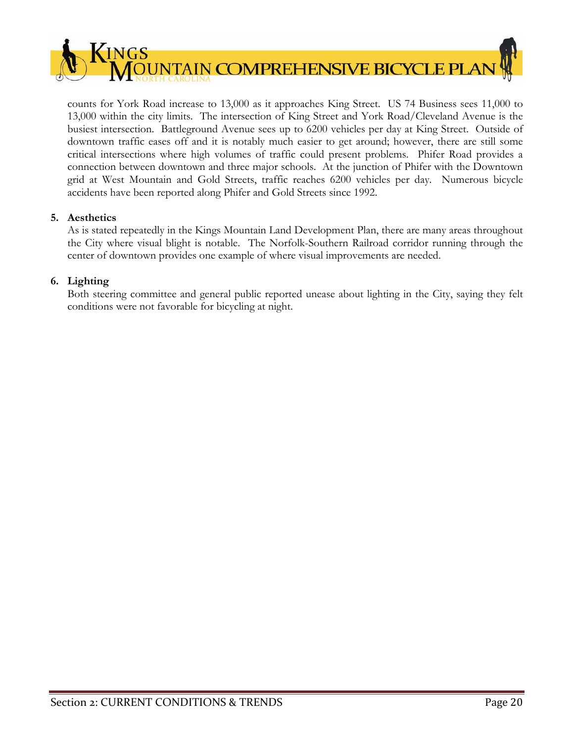

counts for York Road increase to 13,000 as it approaches King Street. US 74 Business sees 11,000 to 13,000 within the city limits. The intersection of King Street and York Road/Cleveland Avenue is the busiest intersection. Battleground Avenue sees up to 6200 vehicles per day at King Street. Outside of downtown traffic eases off and it is notably much easier to get around; however, there are still some critical intersections where high volumes of traffic could present problems. Phifer Road provides a connection between downtown and three major schools. At the junction of Phifer with the Downtown grid at West Mountain and Gold Streets, traffic reaches 6200 vehicles per day. Numerous bicycle accidents have been reported along Phifer and Gold Streets since 1992.

# **5. Aesthetics**

As is stated repeatedly in the Kings Mountain Land Development Plan, there are many areas throughout the City where visual blight is notable. The Norfolk-Southern Railroad corridor running through the center of downtown provides one example of where visual improvements are needed.

# **6. Lighting**

Both steering committee and general public reported unease about lighting in the City, saying they felt conditions were not favorable for bicycling at night.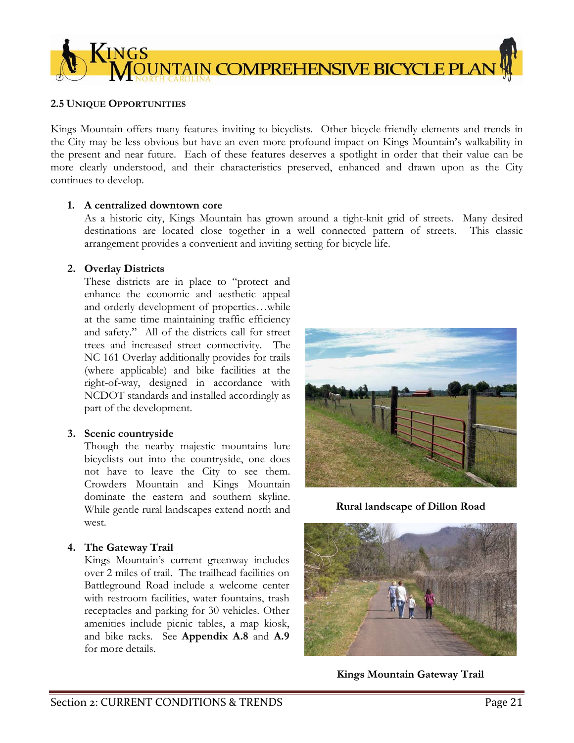

# **2.5 UNIQUE OPPORTUNITIES**

Kings Mountain offers many features inviting to bicyclists. Other bicycle-friendly elements and trends in the City may be less obvious but have an even more profound impact on Kings Mountain's walkability in the present and near future. Each of these features deserves a spotlight in order that their value can be more clearly understood, and their characteristics preserved, enhanced and drawn upon as the City continues to develop.

# **1. A centralized downtown core**

As a historic city, Kings Mountain has grown around a tight-knit grid of streets. Many desired destinations are located close together in a well connected pattern of streets. This classic arrangement provides a convenient and inviting setting for bicycle life.

#### **2. Overlay Districts**

These districts are in place to "protect and enhance the economic and aesthetic appeal and orderly development of properties…while at the same time maintaining traffic efficiency and safety." All of the districts call for street trees and increased street connectivity. The NC 161 Overlay additionally provides for trails (where applicable) and bike facilities at the right-of-way, designed in accordance with NCDOT standards and installed accordingly as part of the development.

# **3. Scenic countryside**

Though the nearby majestic mountains lure bicyclists out into the countryside, one does not have to leave the City to see them. Crowders Mountain and Kings Mountain dominate the eastern and southern skyline. While gentle rural landscapes extend north and west.

# **4. The Gateway Trail**

Kings Mountain's current greenway includes over 2 miles of trail. The trailhead facilities on Battleground Road include a welcome center with restroom facilities, water fountains, trash receptacles and parking for 30 vehicles. Other amenities include picnic tables, a map kiosk, and bike racks. See **Appendix A.8** and **A.9**  for more details.



**Rural landscape of Dillon Road** 



**Kings Mountain Gateway Trail**